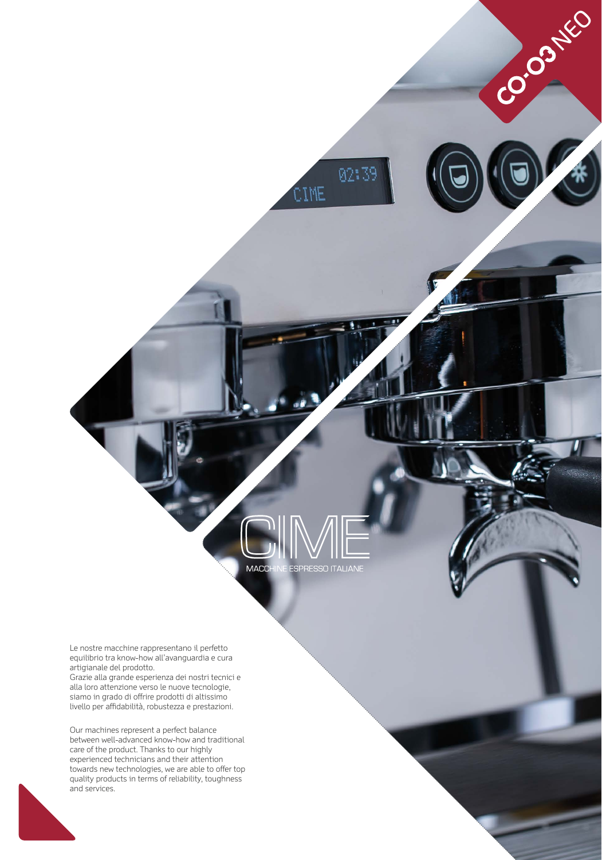

**ESPRESSO ITALIANE** 

**MACC** 

02:39

CIME

Co. O3NEO

Le nostre macchine rappresentano il perfetto equilibrio tra know-how all'avanguardia e cura artigianale del prodotto.

Grazie alla grande esperienza dei nostri tecnici e alla loro attenzione verso le nuove tecnologie, siamo in grado di offrire prodotti di altissimo livello per affidabilità, robustezza e prestazioni.

Our machines represent a perfect balance between well-advanced know-how and traditional care of the product. Thanks to our highly experienced technicians and their attention towards new technologies, we are able to offer top quality products in terms of reliability, toughness and services.